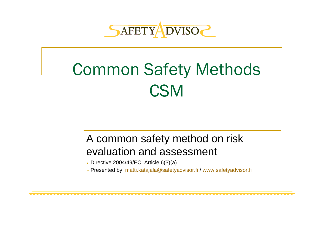

# Common Safety Methods C<sub>SM</sub>

#### A common safety method on risk evaluation and assessment

¾ Directive 2004/49/EC, Article 6(3)(a)

¾ Presented by: [matti.katajala@safetyadvisor.fi](mailto:matti.katajala@safetyadvisor.fi) / [www.safetyadvisor.fi](http://www.safetyadvisor.fi/)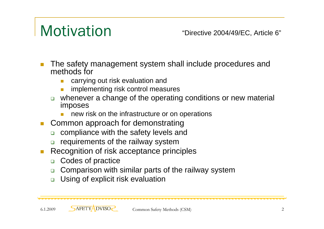## **Motivation**

"Directive 2004/49/EC, Article 6"

- $\Box$  The safety management system shall include procedures and methods for
	- F carrying out risk evaluation and
	- b. implementing risk control measures
	- $\Box$  whenever a change of the operating conditions or new material imposes
		- L, new risk on the infrastructure or on operations
- П Common approach for demonstrating
	- $\Box$ compliance with the safety levels and
	- $\Box$ requirements of the railway system
- $\mathcal{C}^{\mathcal{A}}$  Recognition of risk acceptance principles
	- $\Box$ Codes of practice
	- $\Box$ Comparison with similar parts of the railway system
	- $\Box$ Using of explicit risk evaluation

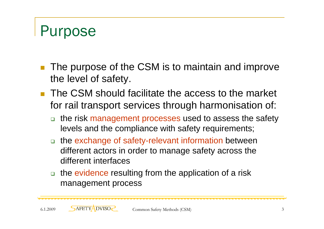## Purpose

- The purpose of the CSM is to maintain and improve the level of safety.
- **The CSM should facilitate the access to the market** for rail transport services through harmonisation of:
	- $\Box$  the risk management processes used to assess the safety levels and the compliance with safety requirements;
	- □ the exchange of safety-relevant information between different actors in order to manage safety across the different interfaces
	- $\Box$  the evidence resulting from the application of a risk management process

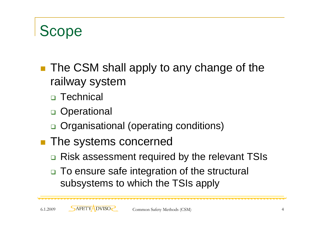### Scope

- The CSM shall apply to any change of the railway system
	- Technical
	- □ Operational
	- □ Organisational (operating conditions)
- **The systems concerned** 
	- □ Risk assessment required by the relevant TSIs
	- □ To ensure safe integration of the structural subsystems to which the TSIs apply

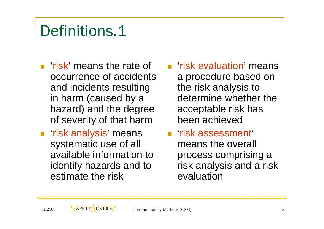- $\blacksquare$  'risk' means the rate of occurrence of accidents and incidents resulting in harm (caused by a hazard) and the degree of severity of that harm
- 'risk analysis' means systematic use of all available information to identify hazards and to estimate the risk
- **F** 'risk evaluation' means a procedure based on the risk analysis to determine whether the acceptable risk has been achieved
- 'risk assessment' means the overall process comprising a risk analysis and a risk evaluation

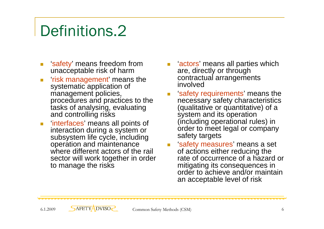## Definitions.<sub>2</sub>

- $\overline{\phantom{a}}$ 'safety' means freedom from unacceptable risk of harm
- $\overline{\mathcal{L}}$ 'risk management' means the systematic application of management policies, procedures and practices to the tasks of analysing, evaluating and controlling risks
- $\mathcal{L}_{\mathcal{A}}$ 'interfaces' means all points of interaction during a system or subsystem life cycle, including operation and maintenance where different actors of the rail sector will work together in order to manage the risks
- **E** 'actors' means all parties which are, directly or through contractual arrangements involved
- 'safety requirements' means the necessary safety characteristics (qualitative or quantitative) of a system and its operation (including operational rules) in order to meet legal or company safety targets
- **Examble 13 Set Examps** in Safety means a set of actions either reducing the rate of occurrence of a hazard or mitigating its consequences in order to achieve and/or maintain an acceptable level of risk

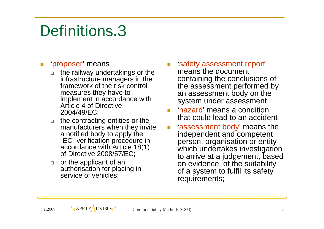#### **E** 'proposer' means

- □ the railway undertakings or the infrastructure managers in the framework of the risk control measures they have to implement in accordance with Article 4 of Directive 2004/49/EC;
- □ the contracting entities or the manufacturers when they invite a notified body to apply the "EC" verification procedure in accordance with Article 18(1) of Directive 2008/57/EC;
- $\Box$  or the applicant of an authorisation for placing in service of vehicles;
- **Examble 13 Septim** is a sessment report means the document containing the conclusions of the assessment performed by an assessment body on the system under assessment
- 'hazard' means a condition that could lead to an accident
- 'assessment body' means the independent and competent person, organisation or entity which undertakes investigation to arrive at a judgement, based on evidence, of the suitability of a system to fulfil its safety requirements;

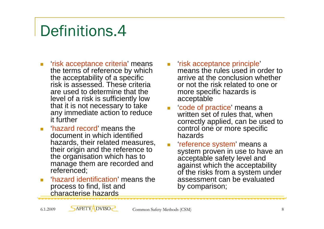- $\overline{\phantom{a}}$ 'risk acceptance criteria' means the terms of reference by which the acceptability of a specific risk is assessed. These criteria are used to determine that the level of a risk is sufficiently low that it is not necessary to take any immediate action to reduce it further
- F 'hazard record' means the document in which identified hazards, their related measures, their origin and the reference to the organisation which has to manage them are recorded and referenced;
- 'hazard identification' means the process to find, list and characterise hazards
- 'risk acceptance principle' means the rules used in order to arrive at the conclusion whether or not the risk related to one or more specific hazards is acceptable
- 'code of practice' means a written set of rules that, when correctly applied, can be used to control one or more specific hazards
- 'reference system' means a system proven in use to have an acceptable safety level and against which the acceptability of the risks from a system under assessment can be evaluated by comparison;

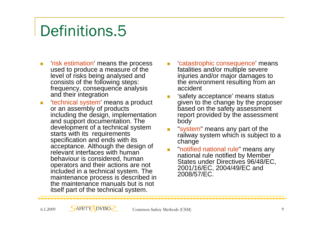- $\overline{\mathbb{Z}}$ 'risk estimation' means the process used to produce a measure of the level of risks being analysed and consists of the following steps: frequency, consequence analysis and their integration
- $\overline{\phantom{a}}$ 'technical system' means a product or an assembly of products including the design, implementation and support documentation. The development of a technical system starts with its requirements specification and ends with its acceptance. Although the design of relevant interfaces with human behaviour is considered, human operators and their actions are not included in a technical system. The maintenance process is described in the maintenance manuals but is not itself part of the technical system.
- 'catastrophic consequence' means fatalities and/or multiple severe injuries and/or major damages to the environment resulting from an accident
- 'safety acceptance' means status given to the change by the proposer based on the safety assessment report provided by the assessment body
- "system" means any part of the railway system which is subject to a change
- "notified national rule" means any national rule notified by Member States under Directives 96/48/EC, 2001/16/EC, 2004/49/EC and 2008/57/EC.

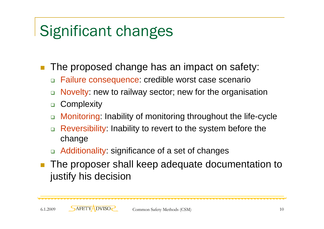## Significant changes

The proposed change has an impact on safety:

- $\Box$ Failure consequence: credible worst case scenario
- $\Box$ Novelty: new to railway sector; new for the organisation
- $\Box$ **Complexity**
- $\Box$ Monitoring: Inability of monitoring throughout the life-cycle
- $\Box$  Reversibility: Inability to revert to the system before the change
- □ Additionality: significance of a set of changes
- П The proposer shall keep adequate documentation to justify his decision

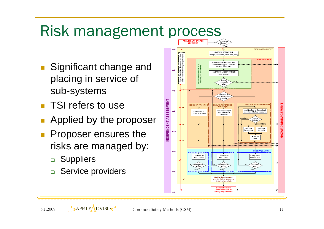## Risk management process

- Significant change and placing in service of sub-systems
- **TSI refers to use**
- **Applied by the proposer**
- Proposer ensures the risks are managed by:
	- □ Suppliers
	- □ Service providers

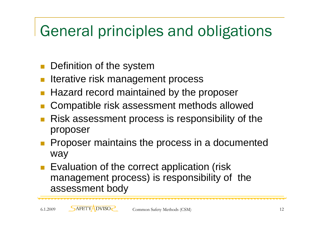## General principles and obligations

- Definition of the system
- Iterative risk management process
- П Hazard record maintained by the proposer
- П Compatible risk assessment methods allowed
- Risk assessment process is responsibility of the proposer
- Proposer maintains the process in a documented way
- Evaluation of the correct application (risk management process) is responsibility of the assessment body

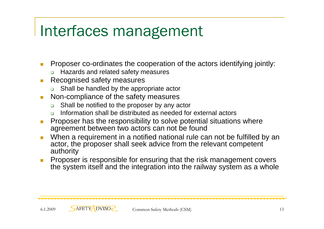## Interfaces management

- $\mathcal{C}^{\mathcal{A}}$  Proposer co-ordinates the cooperation of the actors identifying jointly:
	- ❏ Hazards and related safety measures
- $\mathcal{L}_{\mathcal{A}}$  Recognised safety measures
	- ❏ Shall be handled by the appropriate actor
- $\overline{\mathcal{A}}$  Non-compliance of the safety measures
	- □ Shall be notified to the proposer by any actor
	- □ Information shall be distributed as needed for external actors
- Т. Proposer has the responsibility to solve potential situations where agreement between two actors can not be found
- $\overline{\mathcal{A}}$  When a requirement in a notified national rule can not be fulfilled by an actor, the proposer shall seek advice from the relevant competent authority
- Proposer is responsible for ensuring that the risk management covers the system itself and the integration into the railway system as a whole

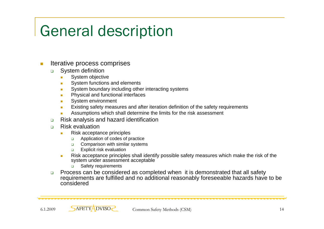## General description

#### $\mathcal{C}^{\mathcal{A}}$ Iterative process comprises

- $\Box$  System definition
	- System objective
	- ٠ System functions and elements
	- Г System boundary including other interacting systems
	- ш Physical and functional interfaces
	- $\mathcal{L}_{\mathcal{A}}$ System environment
	- Existing safety measures and after iteration definition of the safety requirements
	- Assumptions which shall determine the limits for the risk assessment
- $\Box$ Risk analysis and hazard identification
- $\Box$  Risk evaluation
	- п Risk acceptance principles
		- $\Box$ Application of codes of practice
		- $\Box$ Comparison with similar systems
		- $\Box$ Explicit risk evaluation
	- $\mathbf{r}$  Risk acceptance principles shall identify possible safety measures which make the risk of the system under assessment acceptable
		- $\Box$ Safety requirements
- $\Box$  Process can be considered as completed when it is demonstrated that all safety requirements are fulfilled and no additional reasonably foreseeable hazards have to be considered

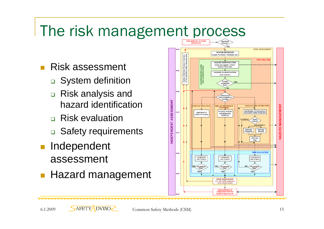## The risk management process

- $\mathcal{L}^{\text{max}}$  Risk assessment
	- **□ System definition**
	- □ Risk analysis and hazard identification
	- **□ Risk evaluation**
	- □ Safety requirements
- **Independent** assessment
- **Hazard management**



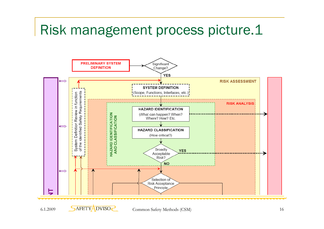#### Risk management process picture.1

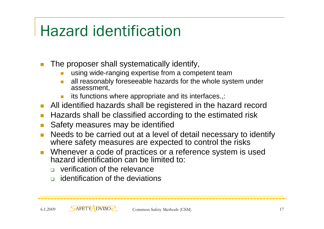## Hazard identification

 $\mathbb{R}^n$ The proposer shall systematically identify,

- L, using wide-ranging expertise from a competent team
- b. all reasonably foreseeable hazards for the whole system under assessment,
- F its functions where appropriate and its interfaces.,:
- $\Box$ All identified hazards shall be registered in the hazard record
- П Hazards shall be classified according to the estimated risk
- $\Box$ Safety measures may be identified
- $\Box$  Needs to be carried out at a level of detail necessary to identify where safety measures are expected to control the risks
- $\mathcal{C}^{\mathcal{A}}$  Whenever a code of practices or a reference system is used hazard identification can be limited to:
	- **u** verification of the relevance
	- **n** identification of the deviations

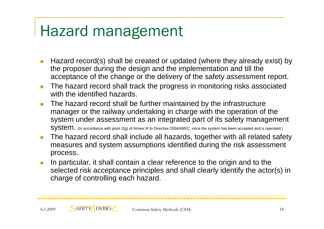## Hazard management

- $\Box$  Hazard record(s) shall be created or updated (where they already exist) by the proposer during the design and the implementation and till the acceptance of the change or the delivery of the safety assessment report.
- $\mathcal{L}_{\mathcal{A}}$  The hazard record shall track the progress in monitoring risks associated with the identified hazards.
- $\Box$  The hazard record shall be further maintained by the infrastructure manager or the railway undertaking in charge with the operation of the system under assessment as an integrated part of its safety management SYSTEM. (In accordance with point 2(g) of Annex III to Directive 2004/49/EC, once the system has been accepted and is operated.)
- $\blacksquare$  The hazard record shall include all hazards, together with all related safety measures and system assumptions identified during the risk assessment process.
- In particular, it shall contain a clear reference to the origin and to the selected risk acceptance principles and shall clearly identify the actor(s) in charge of controlling each hazard.

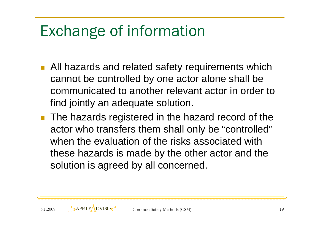## Exchange of information

- All hazards and related safety requirements which cannot be controlled by one actor alone shall be communicated to another relevant actor in order to find jointly an adequate solution.
- $\mathcal{L}_{\mathcal{A}}$  The hazards registered in the hazard record of the actor who transfers them shall only be "controlled" when the evaluation of the risks associated with these hazards is made by the other actor and the solution is agreed by all concerned.

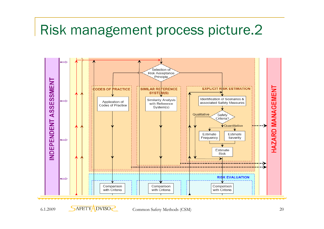### Risk management process picture.2



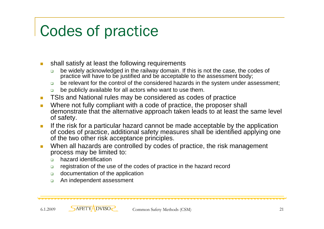## Codes of practice

- $\mathcal{C}^{\mathcal{A}}$  shall satisfy at least the following requirements
	- $\Box$  be widely acknowledged in the railway domain. If this is not the case, the codes of practice will have to be justified and be acceptable to the assessment body;
	- $\Box$ be relevant for the control of the considered hazards in the system under assessment;
	- $\Box$ be publicly available for all actors who want to use them.
- $\overline{\phantom{a}}$ TSIs and National rules may be considered as codes of practice
- $\overline{\phantom{a}}$  Where not fully compliant with a code of practice, the proposer shall demonstrate that the alternative approach taken leads to at least the same level of safety.
- $\mathcal{L}_{\mathcal{A}}$  If the risk for a particular hazard cannot be made acceptable by the application of codes of practice, additional safety measures shall be identified applying one of the two other risk acceptance principles.
- $\overline{\phantom{a}}$  When all hazards are controlled by codes of practice, the risk management process may be limited to:
	- $\Box$ hazard identification
	- $\Box$ registration of the use of the codes of practice in the hazard record
	- $\Box$ documentation of the application
	- $\Box$ An independent assessment

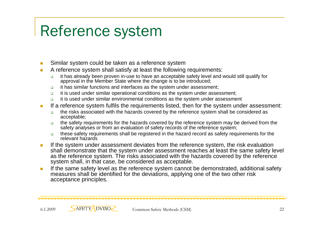## Reference system

- $\sim$ Similar system could be taken as a reference system
- $\mathcal{C}^{\mathcal{A}}$  A reference system shall satisfy at least the following requirements:
	- $\Box$  it has already been proven in-use to have an acceptable safety level and would still qualify for approval in the Member State where the change is to be introduced;
	- $\Box$ it has similar functions and interfaces as the system under assessment;
	- $\Box$ it is used under similar operational conditions as the system under assessment;
	- $\Box$ it is used under similar environmental conditions as the system under assessment
- T. If a reference system fulfils the requirements listed, then for the system under assessment:
	- $\Box$  the risks associated with the hazards covered by the reference system shall be considered as acceptable;
	- $\Box$  the safety requirements for the hazards covered by the reference system may be derived from the safety analyses or from an evaluation of safety records of the reference system;
	- $\Box$  these safety requirements shall be registered in the hazard record as safety requirements for the relevant hazards
- $\mathcal{C}^{\mathcal{A}}$  If the system under assessment deviates from the reference system, the risk evaluation shall demonstrate that the system under assessment reaches at least the same safety level as the reference system. The risks associated with the hazards covered by the reference system shall, in that case, be considered as acceptable.
- **If the same safety level as the reference system cannot be demonstrated, additional safety** measures shall be identified for the deviations, applying one of the two other risk acceptance principles.

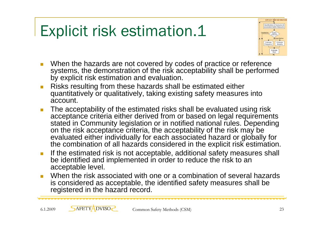## Explicit risk estimation.1



- $\overline{\mathcal{A}}$  When the hazards are not covered by codes of practice or reference systems, the demonstration of the risk acceptability shall be performed by explicit risk estimation and evaluation.
- $\mathcal{L}_{\mathcal{A}}$  Risks resulting from these hazards shall be estimated either quantitatively or qualitatively, taking existing safety measures into account.
- $\overline{\phantom{a}}$  The acceptability of the estimated risks shall be evaluated using risk acceptance criteria either derived from or based on legal requirements stated in Community legislation or in notified national rules. Depending on the risk acceptance criteria, the acceptability of the risk may be evaluated either individually for each associated hazard or globally for the combination of all hazards considered in the explicit risk estimation.
- $\mathcal{L}_{\mathcal{A}}$  If the estimated risk is not acceptable, additional safety measures shall be identified and implemented in order to reduce the risk to an acceptable level.
- $\overline{\phantom{a}}$  When the risk associated with one or a combination of several hazards is considered as acceptable, the identified safety measures shall be registered in the hazard record.

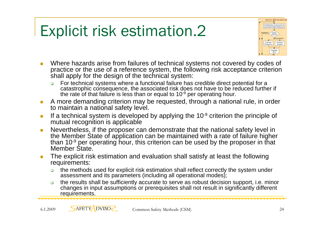## Explicit risk estimation.2



- T. Where hazards arise from failures of technical systems not covered by codes of practice or the use of a reference system, the following risk acceptance criterion shall apply for the design of the technical system:
	- $\Box$  For technical systems where a functional failure has credible direct potential for a catastrophic consequence, the associated risk does not have to be reduced further if the rate of that failure is less than or equal to  $10^{-9}$  per operating hour.
- $\mathcal{L}_{\mathcal{A}}$  A more demanding criterion may be requested, through a national rule, in order to maintain a national safety level.
- $\overline{\phantom{a}}$  If a technical system is developed by applying the 10-9 criterion the principle of mutual recognition is applicable
- $\overline{\phantom{a}}$  Nevertheless, if the proposer can demonstrate that the national safety level in the Member State of application can be maintained with a rate of failure higher than 10-9 per operating hour, this criterion can be used by the proposer in that Member State.
- $\overline{\mathcal{A}}$  The explicit risk estimation and evaluation shall satisfy at least the following requirements:
	- $\Box$  the methods used for explicit risk estimation shall reflect correctly the system under assessment and its parameters (including all operational modes);
	- $\Box$  the results shall be sufficiently accurate to serve as robust decision support, i.e. minor changes in input assumptions or prerequisites shall not result in significantly different requirements.

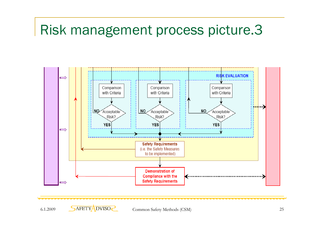#### Risk management process picture.3



6.1.2009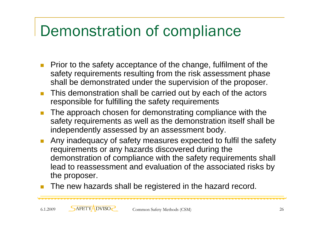## Demonstration of compliance

- $\mathbb{R}^3$  Prior to the safety acceptance of the change, fulfilment of the safety requirements resulting from the risk assessment phase shall be demonstrated under the supervision of the proposer.
- $\Box$  This demonstration shall be carried out by each of the actors responsible for fulfilling the safety requirements
- $\mathbb{R}^n$  The approach chosen for demonstrating compliance with the safety requirements as well as the demonstration itself shall be independently assessed by an assessment body.
- $\Box$  Any inadequacy of safety measures expected to fulfil the safety requirements or any hazards discovered during the demonstration of compliance with the safety requirements shall lead to reassessment and evaluation of the associated risks by the proposer.
- $\Box$ The new hazards shall be registered in the hazard record.

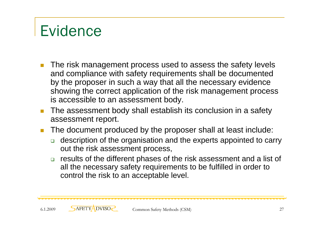## Evidence

- П The risk management process used to assess the safety levels and compliance with safety requirements shall be documented by the proposer in such a way that all the necessary evidence showing the correct application of the risk management process is accessible to an assessment body.
- m. The assessment body shall establish its conclusion in a safety assessment report.
- $\Box$  The document produced by the proposer shall at least include:
	- $\Box$  description of the organisation and the experts appointed to carry out the risk assessment process,
	- $\Box$  results of the different phases of the risk assessment and a list of all the necessary safety requirements to be fulfilled in order to control the risk to an acceptable level.

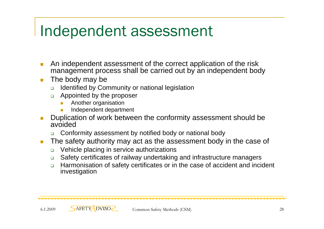## Independent assessment

- $\Box$  An independent assessment of the correct application of the risk management process shall be carried out by an independent body
- $\overline{\mathbb{R}^2}$  The body may be
	- $\Box$ Identified by Community or national legislation
	- $\Box$  Appointed by the proposer
		- ÷, Another organisation
		- T. Independent department
- T Duplication of work between the conformity assessment should be avoided
	- ❏ Conformity assessment by notified body or national body
- $\overline{\phantom{a}}$  The safety authority may act as the assessment body in the case of
	- $\Box$ Vehicle placing in service authorizations
	- $\Box$ Safety certificates of railway undertaking and infrastructure managers
	- $\Box$  Harmonisation of safety certificates or in the case of accident and incident investigation

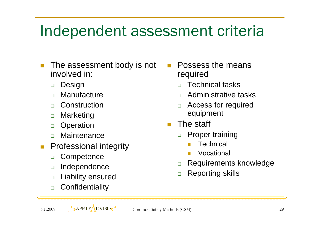## Independent assessment criteria

- $\Box$  The assessment body is not involved in:
	- $\Box$ **Design**
	- $\Box$ **Manufacture**
	- $\Box$ Construction
	- $\Box$ Marketing
	- $\Box$ **Operation**
	- $\Box$ **Maintenance**
- $\mathcal{C}^{\mathcal{A}}$  Professional integrity
	- $\Box$ **Competence**
	- $\Box$ Independence
	- $\Box$ Liability ensured
	- $\Box$ **Confidentiality**

П Possess the means required

- $\Box$ Technical tasks
- $\Box$ Administrative tasks
- $\Box$  Access for required equipment
- П The staff
	- $\Box$  Proper training
		- M **Technical**
		- Vocational
	- $\Box$ Requirements knowledge
	- $\Box$ Reporting skills

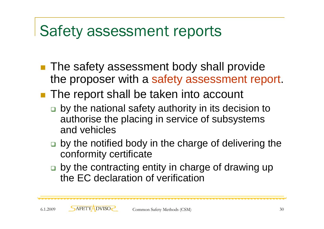## Safety assessment reports

- **The safety assessment body shall provide** the proposer with a safety assessment report.
- **The report shall be taken into account** 
	- □ by the national safety authority in its decision to authorise the placing in service of subsystems and vehicles
	- □ by the notified body in the charge of delivering the conformity certificate
	- □ by the contracting entity in charge of drawing up the EC declaration of verification